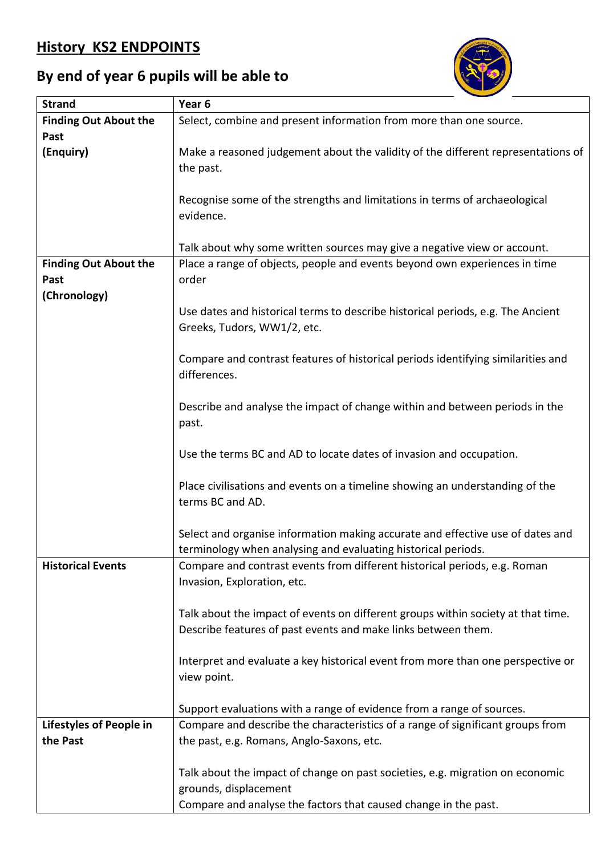## **History KS2 ENDPOINTS**



## **By end of year 6 pupils will be able to**

| <b>Strand</b><br>Year <sub>6</sub>                                                                                                                |  |
|---------------------------------------------------------------------------------------------------------------------------------------------------|--|
| <b>Finding Out About the</b><br>Select, combine and present information from more than one source.                                                |  |
| Past                                                                                                                                              |  |
| (Enquiry)<br>Make a reasoned judgement about the validity of the different representations of                                                     |  |
| the past.                                                                                                                                         |  |
|                                                                                                                                                   |  |
| Recognise some of the strengths and limitations in terms of archaeological                                                                        |  |
| evidence.                                                                                                                                         |  |
|                                                                                                                                                   |  |
| Talk about why some written sources may give a negative view or account.                                                                          |  |
| Place a range of objects, people and events beyond own experiences in time<br><b>Finding Out About the</b>                                        |  |
| order<br>Past                                                                                                                                     |  |
| (Chronology)                                                                                                                                      |  |
| Use dates and historical terms to describe historical periods, e.g. The Ancient                                                                   |  |
| Greeks, Tudors, WW1/2, etc.                                                                                                                       |  |
|                                                                                                                                                   |  |
| Compare and contrast features of historical periods identifying similarities and                                                                  |  |
| differences.                                                                                                                                      |  |
|                                                                                                                                                   |  |
| Describe and analyse the impact of change within and between periods in the                                                                       |  |
| past.                                                                                                                                             |  |
|                                                                                                                                                   |  |
| Use the terms BC and AD to locate dates of invasion and occupation.                                                                               |  |
|                                                                                                                                                   |  |
| Place civilisations and events on a timeline showing an understanding of the                                                                      |  |
| terms BC and AD.                                                                                                                                  |  |
|                                                                                                                                                   |  |
| Select and organise information making accurate and effective use of dates and                                                                    |  |
| terminology when analysing and evaluating historical periods.                                                                                     |  |
| <b>Historical Events</b><br>Compare and contrast events from different historical periods, e.g. Roman                                             |  |
| Invasion, Exploration, etc.                                                                                                                       |  |
|                                                                                                                                                   |  |
| Talk about the impact of events on different groups within society at that time.<br>Describe features of past events and make links between them. |  |
|                                                                                                                                                   |  |
| Interpret and evaluate a key historical event from more than one perspective or                                                                   |  |
| view point.                                                                                                                                       |  |
|                                                                                                                                                   |  |
| Support evaluations with a range of evidence from a range of sources.                                                                             |  |
| Compare and describe the characteristics of a range of significant groups from<br><b>Lifestyles of People in</b>                                  |  |
| the Past<br>the past, e.g. Romans, Anglo-Saxons, etc.                                                                                             |  |
|                                                                                                                                                   |  |
| Talk about the impact of change on past societies, e.g. migration on economic                                                                     |  |
| grounds, displacement                                                                                                                             |  |
| Compare and analyse the factors that caused change in the past.                                                                                   |  |